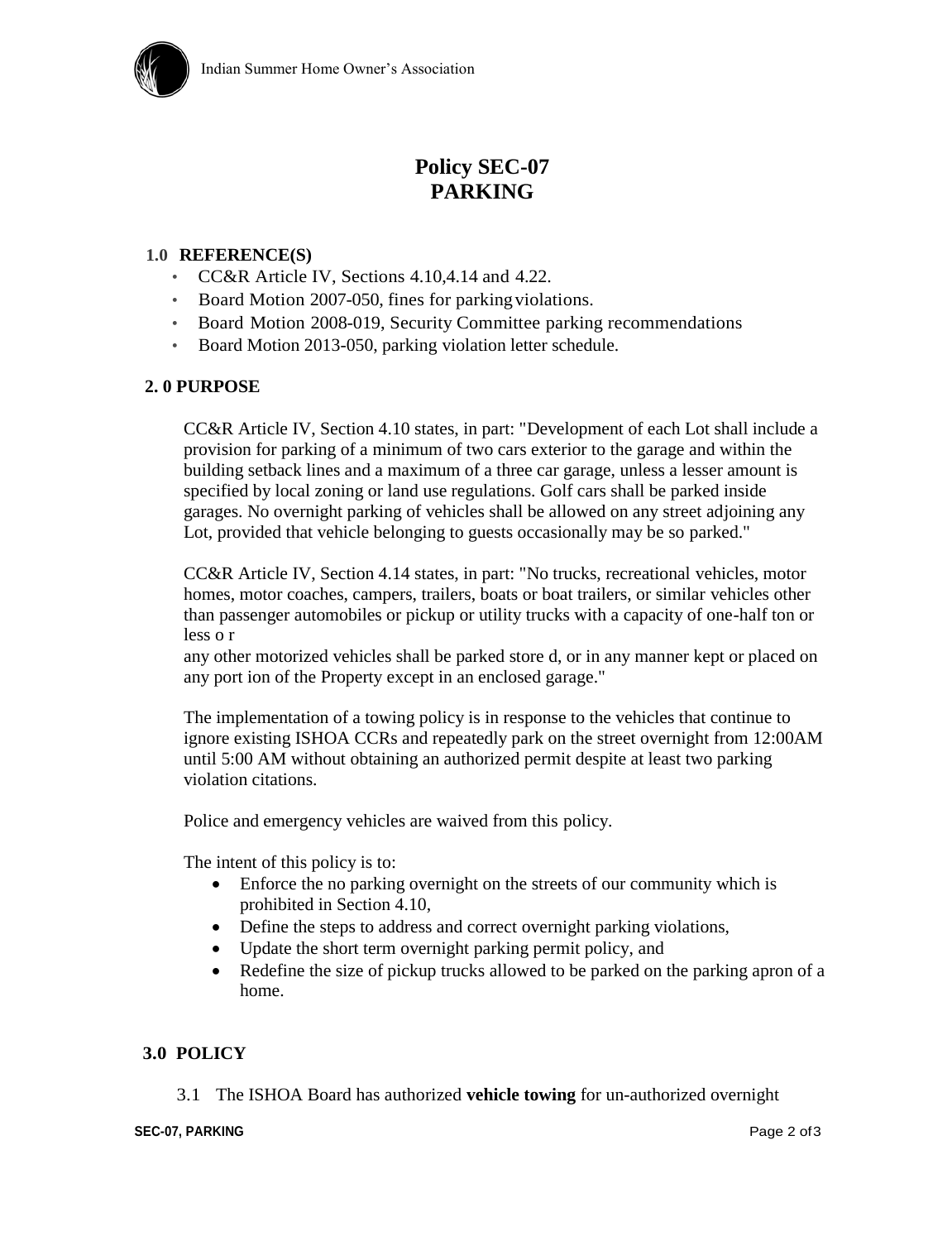

# **Policy SEC-07 PARKING**

#### **1.0 REFERENCE(S)**

- CC&R Article IV, Sections 4.10,4.14 and 4.22.
- Board Motion 2007-050, fines for parkingviolations.
- Board Motion 2008-019, Security Committee parking recommendations
- Board Motion 2013-050, parking violation letter schedule.

## **2. 0 PURPOSE**

CC&R Article IV, Section 4.10 states, in part: "Development of each Lot shall include a provision for parking of a minimum of two cars exterior to the garage and within the building setback lines and a maximum of a three car garage, unless a lesser amount is specified by local zoning or land use regulations. Golf cars shall be parked inside garages. No overnight parking of vehicles shall be allowed on any street adjoining any Lot, provided that vehicle belonging to guests occasionally may be so parked."

CC&R Article IV, Section 4.14 states, in part: "No trucks, recreational vehicles, motor homes, motor coaches, campers, trailers, boats or boat trailers, or similar vehicles other than passenger automobiles or pickup or utility trucks with a capacity of one-half ton or less o r

any other motorized vehicles shall be parked store d, or in any manner kept or placed on any port ion of the Property except in an enclosed garage."

The implementation of a towing policy is in response to the vehicles that continue to ignore existing ISHOA CCRs and repeatedly park on the street overnight from 12:00AM until 5:00 AM without obtaining an authorized permit despite at least two parking violation citations.

Police and emergency vehicles are waived from this policy.

The intent of this policy is to:

- Enforce the no parking overnight on the streets of our community which is prohibited in Section 4.10,
- Define the steps to address and correct overnight parking violations,
- Update the short term overnight parking permit policy, and
- Redefine the size of pickup trucks allowed to be parked on the parking apron of a home.

## **3.0 POLICY**

3.1 The ISHOA Board has authorized **vehicle towing** for un-authorized overnight

#### **SEC-07, PARKING** Page 2 of 3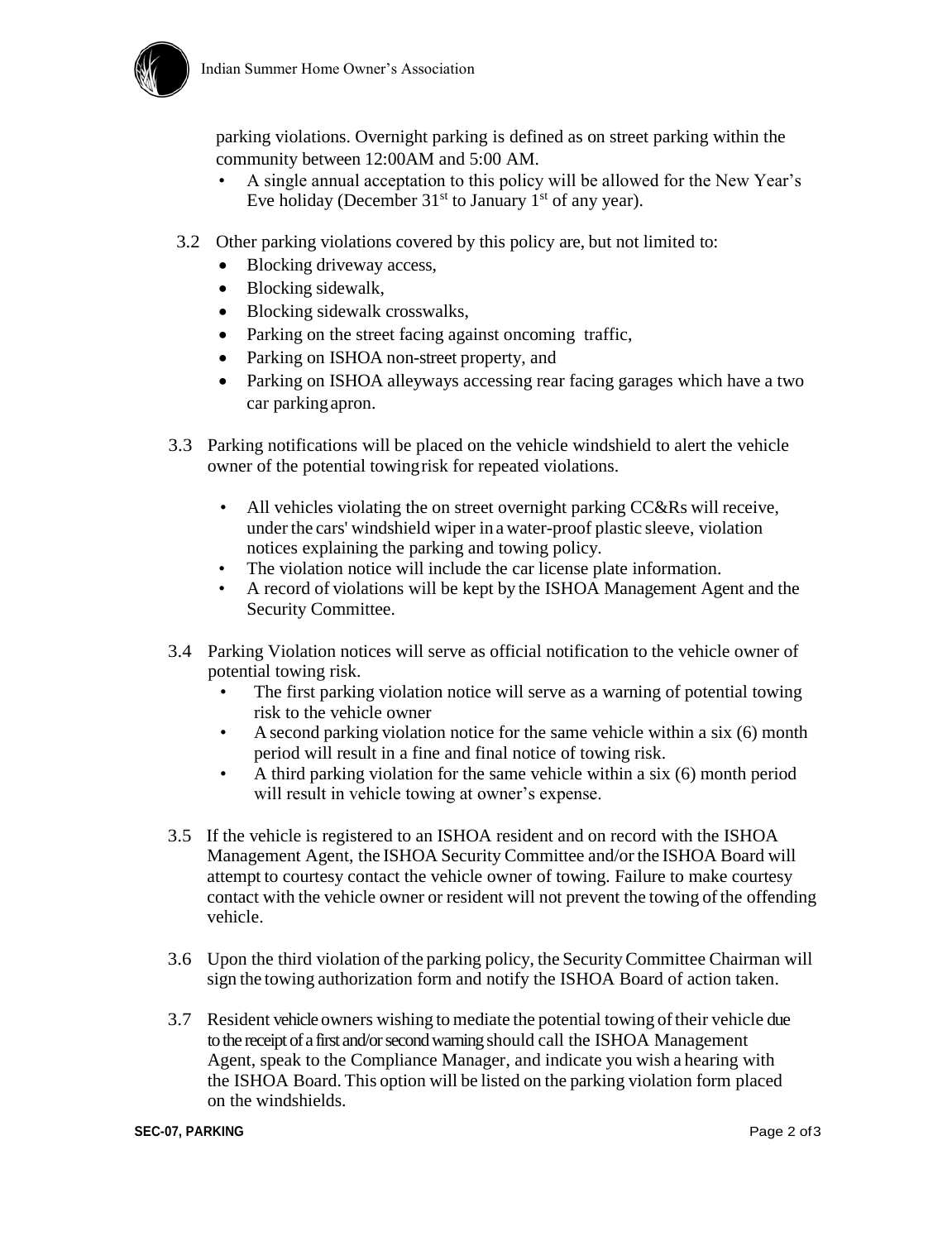

parking violations. Overnight parking is defined as on street parking within the community between 12:00AM and 5:00 AM.

- A single annual acceptation to this policy will be allowed for the New Year's Eve holiday (December  $31<sup>st</sup>$  to January  $1<sup>st</sup>$  of any year).
- 3.2 Other parking violations covered by this policy are, but not limited to:
	- Blocking driveway access,
	- Blocking sidewalk,
	- Blocking sidewalk crosswalks,
	- Parking on the street facing against oncoming traffic,
	- Parking on ISHOA non-street property, and
	- Parking on ISHOA alleyways accessing rear facing garages which have a two car parkingapron.
- 3.3 Parking notifications will be placed on the vehicle windshield to alert the vehicle owner of the potential towingrisk for repeated violations.
	- All vehicles violating the on street overnight parking CC&Rs will receive, under the cars' windshield wiper in a water-proof plastic sleeve, violation notices explaining the parking and towing policy.
	- The violation notice will include the car license plate information.
	- A record of violations will be kept by the ISHOA Management Agent and the Security Committee.
- 3.4 Parking Violation notices will serve as official notification to the vehicle owner of potential towing risk.
	- The first parking violation notice will serve as a warning of potential towing risk to the vehicle owner
	- A second parking violation notice for the same vehicle within a six (6) month period will result in a fine and final notice of towing risk.
	- A third parking violation for the same vehicle within a six (6) month period will result in vehicle towing at owner's expense.
- 3.5 If the vehicle is registered to an ISHOA resident and on record with the ISHOA Management Agent, the ISHOA Security Committee and/or the ISHOA Board will attempt to courtesy contact the vehicle owner of towing. Failure to make courtesy contact with the vehicle owner or resident will not prevent the towing of the offending vehicle.
- 3.6 Upon the third violation ofthe parking policy, the SecurityCommittee Chairman will sign the towing authorization form and notify the ISHOA Board of action taken.
- 3.7 Resident vehicle owners wishing to mediate the potential towing oftheir vehicle due to the receipt of a first and/or second warning should call the ISHOA Management Agent, speak to the Compliance Manager, and indicate you wish a hearing with the ISHOA Board. This option will be listed on the parking violation form placed on the windshields.